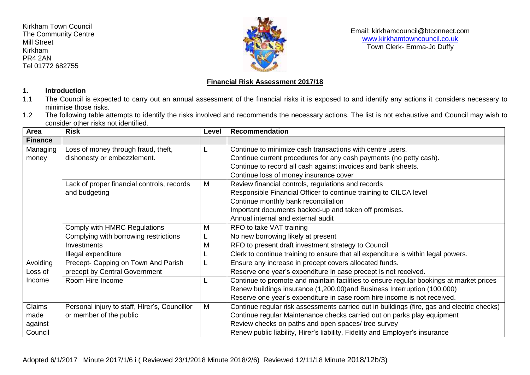Kirkham Town Council The Community Centre Mill Street Kirkham PR4 2AN Tel 01772 682755



## Email: kirkhamcouncil@btconnect.com [www.kirkhamtowncouncil.co.uk](http://www.kirkhamtowncouncil.co.uk/) Town Clerk- Emma-Jo Duffy

## **Financial Risk Assessment 2017/18**

## **1. Introduction**

- 1.1 The Council is expected to carry out an annual assessment of the financial risks it is exposed to and identify any actions it considers necessary to minimise those risks.
- 1.2 The following table attempts to identify the risks involved and recommends the necessary actions. The list is not exhaustive and Council may wish to consider other risks not identified.

| Area           | <b>Risk</b>                                   | Level | Recommendation                                                                             |
|----------------|-----------------------------------------------|-------|--------------------------------------------------------------------------------------------|
| <b>Finance</b> |                                               |       |                                                                                            |
| Managing       | Loss of money through fraud, theft,           |       | Continue to minimize cash transactions with centre users.                                  |
| money          | dishonesty or embezzlement.                   |       | Continue current procedures for any cash payments (no petty cash).                         |
|                |                                               |       | Continue to record all cash against invoices and bank sheets.                              |
|                |                                               |       | Continue loss of money insurance cover                                                     |
|                | Lack of proper financial controls, records    | M     | Review financial controls, regulations and records                                         |
|                | and budgeting                                 |       | Responsible Financial Officer to continue training to CILCA level                          |
|                |                                               |       | Continue monthly bank reconciliation                                                       |
|                |                                               |       | Important documents backed-up and taken off premises.                                      |
|                |                                               |       | Annual internal and external audit                                                         |
|                | Comply with HMRC Regulations                  | M     | RFO to take VAT training                                                                   |
|                | Complying with borrowing restrictions         |       | No new borrowing likely at present                                                         |
|                | Investments                                   | M     | RFO to present draft investment strategy to Council                                        |
|                | Illegal expenditure                           |       | Clerk to continue training to ensure that all expenditure is within legal powers.          |
| Avoiding       | Precept- Capping on Town And Parish           |       | Ensure any increase in precept covers allocated funds.                                     |
| Loss of        | precept by Central Government                 |       | Reserve one year's expenditure in case precept is not received.                            |
| Income         | Room Hire Income                              |       | Continue to promote and maintain facilities to ensure regular bookings at market prices    |
|                |                                               |       | Renew buildings insurance (1,200,00)and Business Interruption (100,000)                    |
|                |                                               |       | Reserve one year's expenditure in case room hire income is not received.                   |
| Claims         | Personal injury to staff, Hirer's, Councillor | M     | Continue regular risk assessments carried out in buildings (fire, gas and electric checks) |
| made           | or member of the public                       |       | Continue regular Maintenance checks carried out on parks play equipment                    |
| against        |                                               |       | Review checks on paths and open spaces/ tree survey                                        |
| Council        |                                               |       | Renew public liability, Hirer's liability, Fidelity and Employer's insurance               |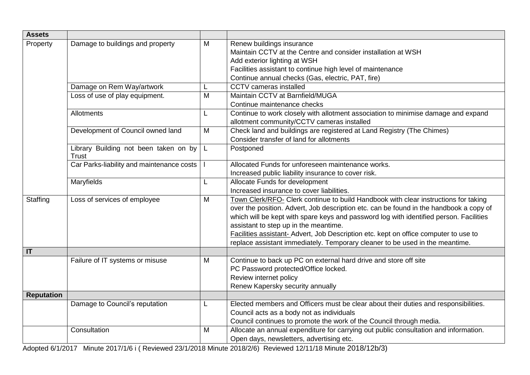| <b>Assets</b>     |                                                       |   |                                                                                                                                                                                                                                                                                                                                                                                                                                                                                         |
|-------------------|-------------------------------------------------------|---|-----------------------------------------------------------------------------------------------------------------------------------------------------------------------------------------------------------------------------------------------------------------------------------------------------------------------------------------------------------------------------------------------------------------------------------------------------------------------------------------|
| Property          | Damage to buildings and property                      | M | Renew buildings insurance<br>Maintain CCTV at the Centre and consider installation at WSH<br>Add exterior lighting at WSH<br>Facilities assistant to continue high level of maintenance<br>Continue annual checks (Gas, electric, PAT, fire)                                                                                                                                                                                                                                            |
|                   | Damage on Rem Way/artwork                             |   | CCTV cameras installed                                                                                                                                                                                                                                                                                                                                                                                                                                                                  |
|                   | Loss of use of play equipment.                        | M | Maintain CCTV at Barnfield/MUGA<br>Continue maintenance checks                                                                                                                                                                                                                                                                                                                                                                                                                          |
|                   | <b>Allotments</b>                                     | L | Continue to work closely with allotment association to minimise damage and expand<br>allotment community/CCTV cameras installed                                                                                                                                                                                                                                                                                                                                                         |
|                   | Development of Council owned land                     | M | Check land and buildings are registered at Land Registry (The Chimes)<br>Consider transfer of land for allotments                                                                                                                                                                                                                                                                                                                                                                       |
|                   | Library Building not been taken on by<br><b>Trust</b> | L | Postponed                                                                                                                                                                                                                                                                                                                                                                                                                                                                               |
|                   | Car Parks-liability and maintenance costs             |   | Allocated Funds for unforeseen maintenance works.<br>Increased public liability insurance to cover risk.                                                                                                                                                                                                                                                                                                                                                                                |
|                   | Maryfields                                            | L | Allocate Funds for development<br>Increased insurance to cover liabilities.                                                                                                                                                                                                                                                                                                                                                                                                             |
| Staffing          | Loss of services of employee                          | M | Town Clerk/RFO- Clerk continue to build Handbook with clear instructions for taking<br>over the position. Advert, Job description etc. can be found in the handbook a copy of<br>which will be kept with spare keys and password log with identified person. Facilities<br>assistant to step up in the meantime.<br>Facilities assistant-Advert, Job Description etc. kept on office computer to use to<br>replace assistant immediately. Temporary cleaner to be used in the meantime. |
| IT                |                                                       |   |                                                                                                                                                                                                                                                                                                                                                                                                                                                                                         |
|                   | Failure of IT systems or misuse                       | M | Continue to back up PC on external hard drive and store off site<br>PC Password protected/Office locked.<br>Review internet policy<br>Renew Kapersky security annually                                                                                                                                                                                                                                                                                                                  |
| <b>Reputation</b> |                                                       |   |                                                                                                                                                                                                                                                                                                                                                                                                                                                                                         |
|                   | Damage to Council's reputation                        | L | Elected members and Officers must be clear about their duties and responsibilities.<br>Council acts as a body not as individuals<br>Council continues to promote the work of the Council through media.                                                                                                                                                                                                                                                                                 |
|                   | Consultation                                          | M | Allocate an annual expenditure for carrying out public consultation and information.<br>Open days, newsletters, advertising etc.                                                                                                                                                                                                                                                                                                                                                        |

Adopted 6/1/2017 Minute 2017/1/6 i ( Reviewed 23/1/2018 Minute 2018/2/6) Reviewed 12/11/18 Minute 2018/12b/3)